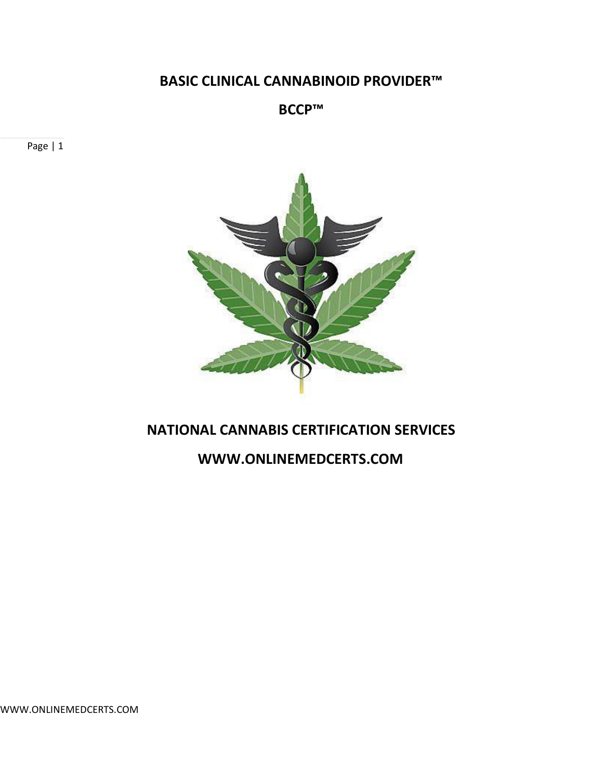# **BASIC CLINICAL CANNABINOID PROVIDER™**

**BCCP™**

Page | 1



# **NATIONAL CANNABIS CERTIFICATION SERVICES**

# **WWW.ONLINEMEDCERTS.COM**

WWW.ONLINEMEDCERTS.COM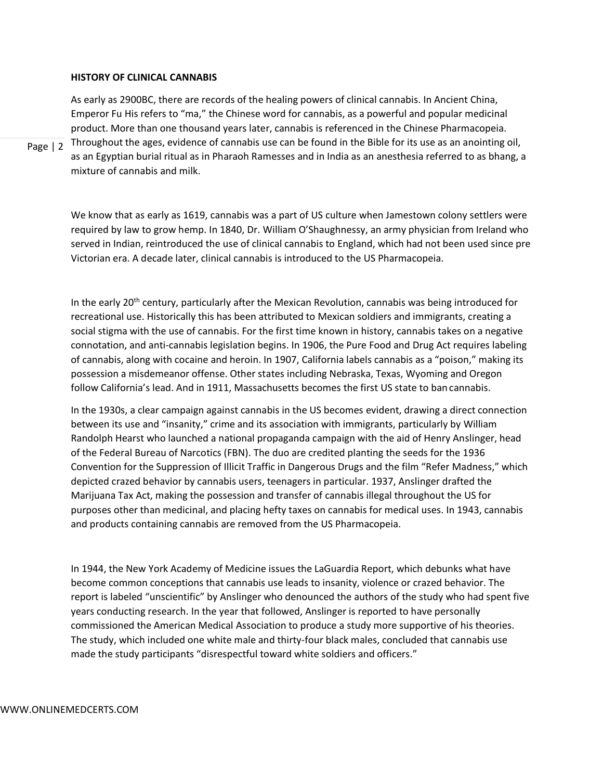### **HISTORY OF CLINICAL CANNABIS**

As early as 2900BC, there are records of the healing powers of clinical cannabis. In Ancient China, Emperor Fu His refers to "ma," the Chinese word for cannabis, as a powerful and popular medicinal product. More than one thousand years later, cannabis is referenced in the Chinese Pharmacopeia.

 $Page | 2$  Throughout the ages, evidence of cannabis use can be found in the Bible for its use as an anointing oil, as an Egyptian burial ritual as in Pharaoh Ramesses and in India as an anesthesia referred to as bhang, a mixture of cannabis and milk.

We know that as early as 1619, cannabis was a part of US culture when Jamestown colony settlers were required by law to grow hemp. In 1840, Dr. William O'Shaughnessy, an army physician from Ireland who served in Indian, reintroduced the use of clinical cannabis to England, which had not been used since pre Victorian era. A decade later, clinical cannabis is introduced to the US Pharmacopeia.

In the early 20<sup>th</sup> century, particularly after the Mexican Revolution, cannabis was being introduced for recreational use. Historically this has been attributed to Mexican soldiers and immigrants, creating a social stigma with the use of cannabis. For the first time known in history, cannabis takes on a negative connotation, and anti-cannabis legislation begins. In 1906, the Pure Food and Drug Act requires labeling of cannabis, along with cocaine and heroin. In 1907, California labels cannabis as a "poison," making its possession a misdemeanor offense. Other states including Nebraska, Texas, Wyoming and Oregon follow California's lead. And in 1911, Massachusetts becomes the first US state to ban cannabis.

In the 1930s, a clear campaign against cannabis in the US becomes evident, drawing a direct connection between its use and "insanity," crime and its association with immigrants, particularly by William Randolph Hearst who launched a national propaganda campaign with the aid of Henry Anslinger, head of the Federal Bureau of Narcotics (FBN). The duo are credited planting the seeds for the 1936 Convention for the Suppression of Illicit Traffic in Dangerous Drugs and the film "Refer Madness," which depicted crazed behavior by cannabis users, teenagers in particular. 1937, Anslinger drafted the Marijuana Tax Act, making the possession and transfer of cannabis illegal throughout the US for purposes other than medicinal, and placing hefty taxes on cannabis for medical uses. In 1943, cannabis and products containing cannabis are removed from the US Pharmacopeia.

In 1944, the New York Academy of Medicine issues the LaGuardia Report, which debunks what have become common conceptions that cannabis use leads to insanity, violence or crazed behavior. The report is labeled "unscientific" by Anslinger who denounced the authors of the study who had spent five years conducting research. In the year that followed, Anslinger is reported to have personally commissioned the American Medical Association to produce a study more supportive of his theories. The study, which included one white male and thirty-four black males, concluded that cannabis use made the study participants "disrespectful toward white soldiers and officers."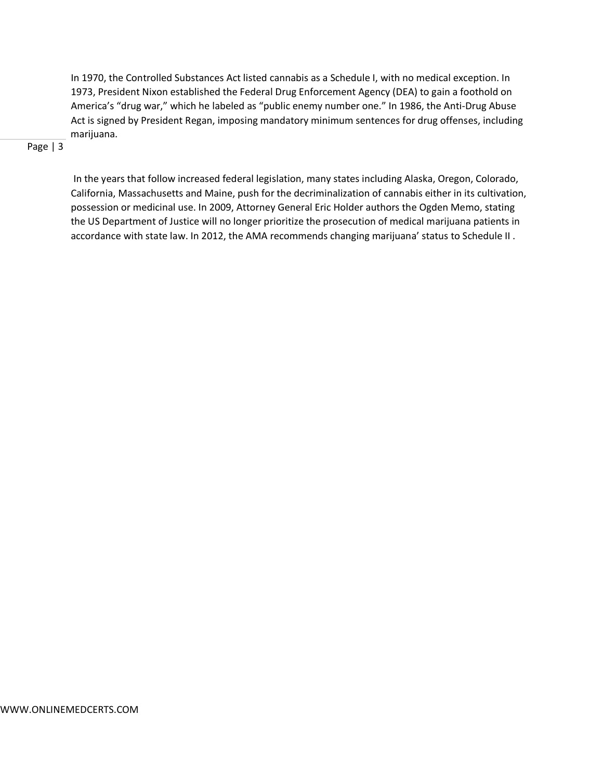In 1970, the Controlled Substances Act listed cannabis as a Schedule I, with no medical exception. In 1973, President Nixon established the Federal Drug Enforcement Agency (DEA) to gain a foothold on America's "drug war," which he labeled as "public enemy number one." In 1986, the Anti-Drug Abuse Act is signed by President Regan, imposing mandatory minimum sentences for drug offenses, including marijuana.

# Page | 3

In the years that follow increased federal legislation, many states including Alaska, Oregon, Colorado, California, Massachusetts and Maine, push for the decriminalization of cannabis either in its cultivation, possession or medicinal use. In 2009, Attorney General Eric Holder authors the Ogden Memo, stating the US Department of Justice will no longer prioritize the prosecution of medical marijuana patients in accordance with state law. In 2012, the AMA recommends changing marijuana' status to Schedule II .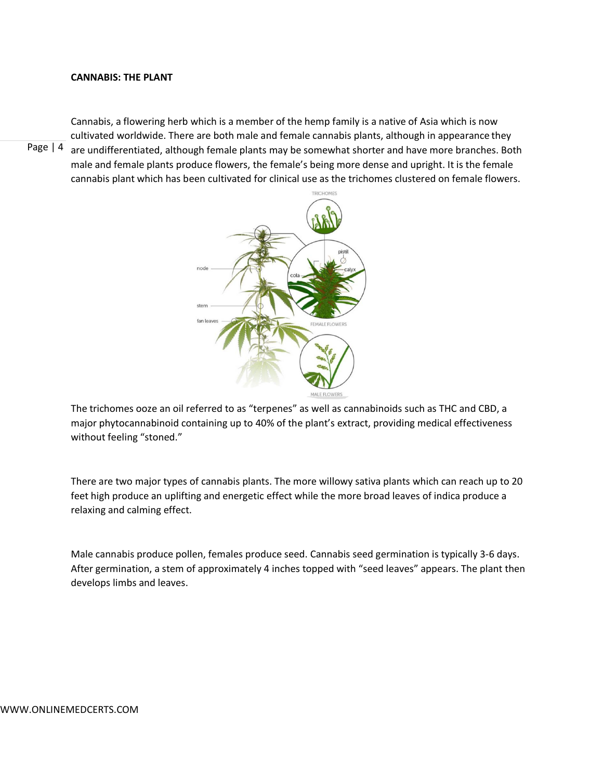### **CANNABIS: THE PLANT**

Cannabis, a flowering herb which is a member of the hemp family is a native of Asia which is now cultivated worldwide. There are both male and female cannabis plants, although in appearance they

Page  $\vert$  4 are undifferentiated, although female plants may be somewhat shorter and have more branches. Both male and female plants produce flowers, the female's being more dense and upright. It is the female cannabis plant which has been cultivated for clinical use as the trichomes clustered on female flowers.



The trichomes ooze an oil referred to as "terpenes" as well as cannabinoids such as THC and CBD, a major phytocannabinoid containing up to 40% of the plant's extract, providing medical effectiveness without feeling "stoned."

There are two major types of cannabis plants. The more willowy sativa plants which can reach up to 20 feet high produce an uplifting and energetic effect while the more broad leaves of indica produce a relaxing and calming effect.

Male cannabis produce pollen, females produce seed. Cannabis seed germination is typically 3-6 days. After germination, a stem of approximately 4 inches topped with "seed leaves" appears. The plant then develops limbs and leaves.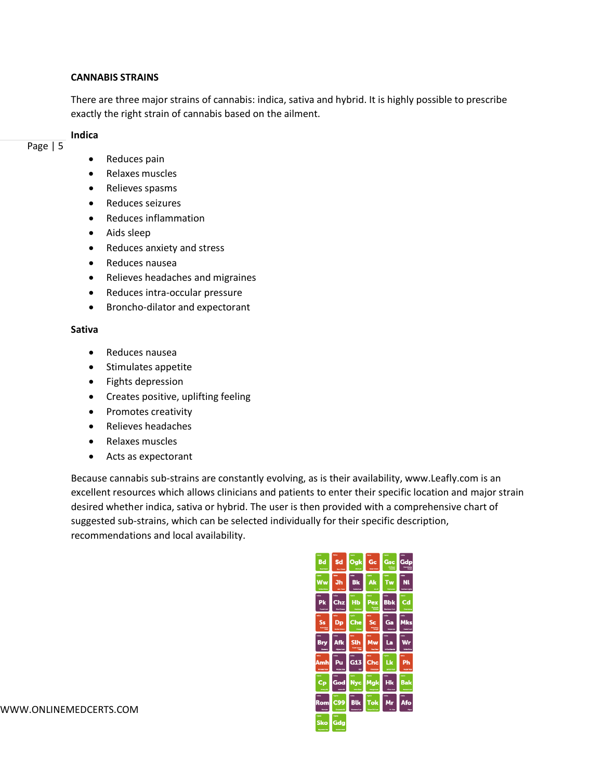## **CANNABIS STRAINS**

There are three major strains of cannabis: indica, sativa and hybrid. It is highly possible to prescribe exactly the right strain of cannabis based on the ailment.

## **Indica**

# Page | 5

- Reduces pain
- Relaxes muscles
- Relieves spasms
- Reduces seizures
- Reduces inflammation
- Aids sleep
- Reduces anxiety and stress
- Reduces nausea
- Relieves headaches and migraines
- Reduces intra-occular pressure
- Broncho-dilator and expectorant

## **Sativa**

- Reduces nausea
- Stimulates appetite
- Fights depression
- Creates positive, uplifting feeling
- Promotes creativity
- Relieves headaches
- Relaxes muscles
- Acts as expectorant

Because cannabis sub-strains are constantly evolving, as is their availability, [www.Leafly.com i](http://www.leafly.com/)s an excellent resources which allows clinicians and patients to enter their specific location and major strain desired whether indica, sativa or hybrid. The user is then provided with a comprehensive chart of suggested sub-strains, which can be selected individually for their specific description, recommendations and local availability.



WWW.ONLINEMEDCERTS.COM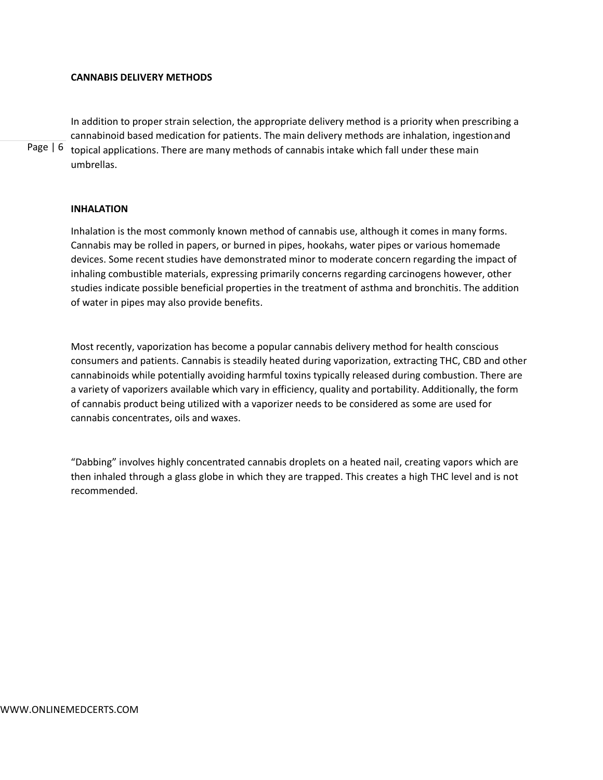### **CANNABIS DELIVERY METHODS**

In addition to proper strain selection, the appropriate delivery method is a priority when prescribing a cannabinoid based medication for patients. The main delivery methods are inhalation, ingestionand Page  $\vert$  6 topical applications. There are many methods of cannabis intake which fall under these main umbrellas.

### **INHALATION**

Inhalation is the most commonly known method of cannabis use, although it comes in many forms. Cannabis may be rolled in papers, or burned in pipes, hookahs, water pipes or various homemade devices. Some recent studies have demonstrated minor to moderate concern regarding the impact of inhaling combustible materials, expressing primarily concerns regarding carcinogens however, other studies indicate possible beneficial properties in the treatment of asthma and bronchitis. The addition of water in pipes may also provide benefits.

Most recently, vaporization has become a popular cannabis delivery method for health conscious consumers and patients. Cannabis is steadily heated during vaporization, extracting THC, CBD and other cannabinoids while potentially avoiding harmful toxins typically released during combustion. There are a variety of vaporizers available which vary in efficiency, quality and portability. Additionally, the form of cannabis product being utilized with a vaporizer needs to be considered as some are used for cannabis concentrates, oils and waxes.

"Dabbing" involves highly concentrated cannabis droplets on a heated nail, creating vapors which are then inhaled through a glass globe in which they are trapped. This creates a high THC level and is not recommended.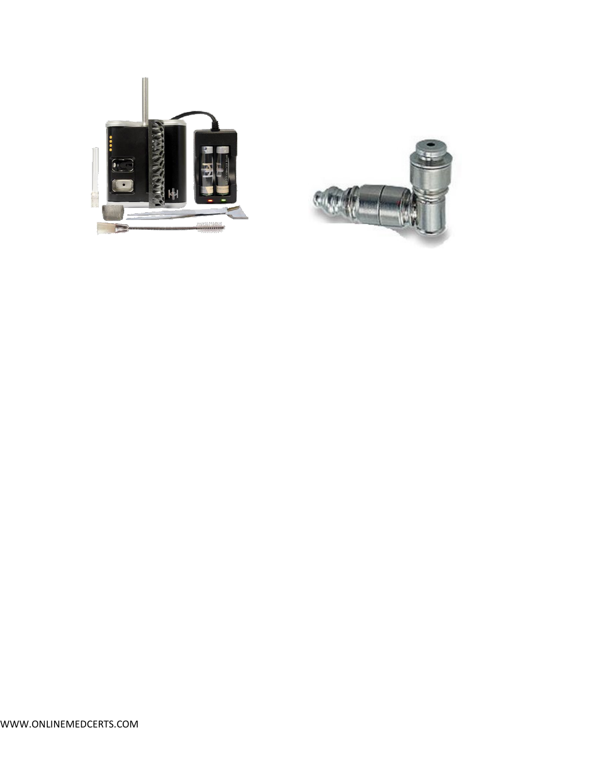

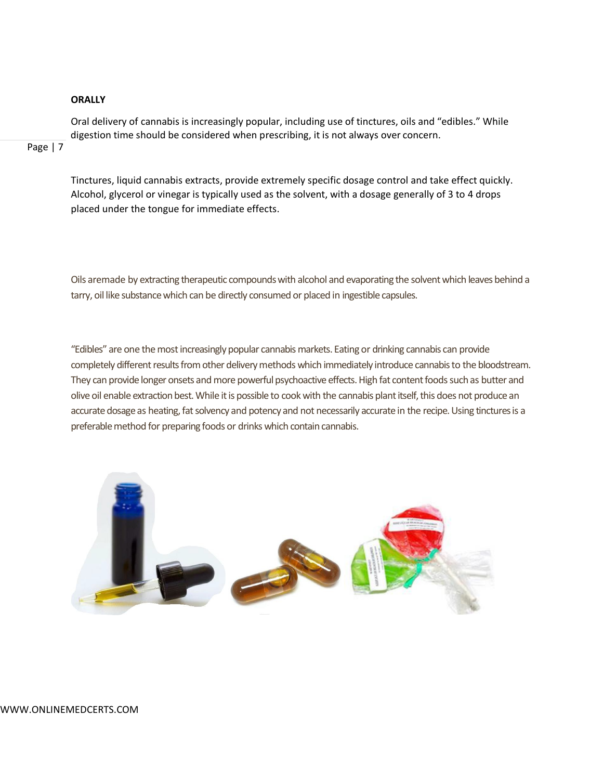### **ORALLY**

Oral delivery of cannabis is increasingly popular, including use of tinctures, oils and "edibles." While digestion time should be considered when prescribing, it is not always over concern.

Page | 7

Tinctures, liquid cannabis extracts, provide extremely specific dosage control and take effect quickly. Alcohol, glycerol or vinegar is typically used as the solvent, with a dosage generally of 3 to 4 drops placed under the tongue for immediate effects.

Oils aremade by extracting therapeutic compounds with alcohol and evaporating the solvent which leaves behind a tarry, oil like substance which can be directly consumed or placed in ingestible capsules.

"Edibles" are one the most increasingly popular cannabis markets. Eating or drinking cannabis can provide completely different results from other delivery methods which immediately introduce cannabis to the bloodstream. They can provide longer onsets and more powerful psychoactive effects. High fat content foods such as butter and olive oil enable extraction best. While it is possible to cook with the cannabis plant itself, this does not produce an accurate dosage as heating, fat solvency and potency and not necessarily accurate in the recipe. Using tinctures is a preferable method for preparing foods or drinks which contain cannabis.

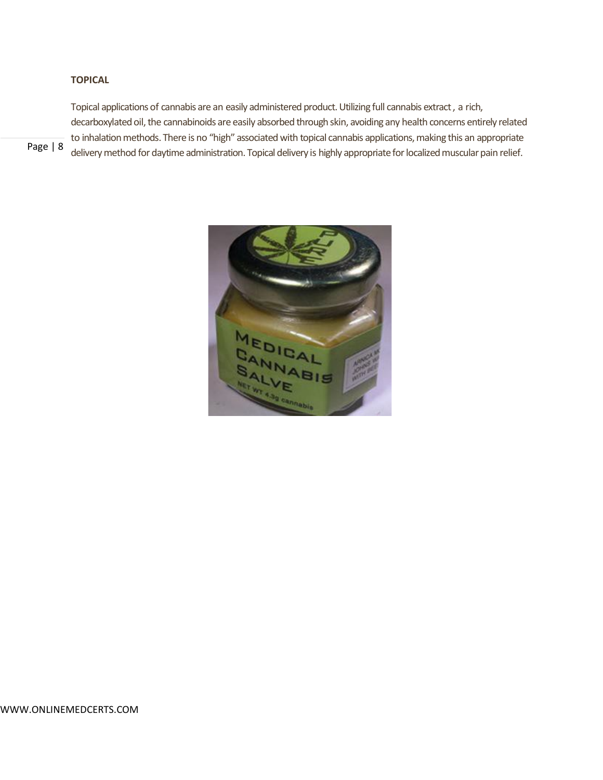## **TOPICAL**

Page | 8

Topical applications of cannabis are an easily administered product. Utilizing full cannabis extract , a rich, decarboxylated oil, the cannabinoids are easily absorbed through skin, avoiding any health concerns entirely related to inhalation methods. There is no "high" associated with topical cannabis applications, making this an appropriate delivery method for daytime administration. Topical delivery is highly appropriate for localized muscular pain relief.

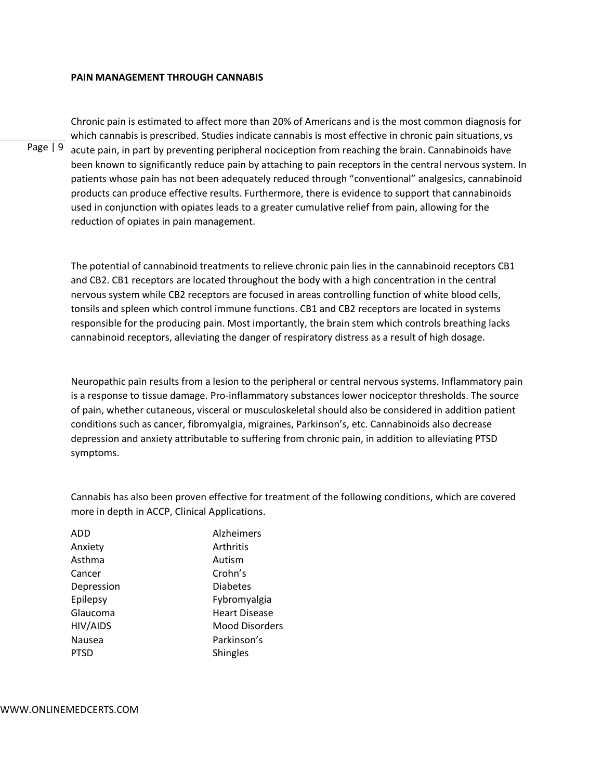### **PAIN MANAGEMENT THROUGH CANNABIS**

Chronic pain is estimated to affect more than 20% of Americans and is the most common diagnosis for which cannabis is prescribed. Studies indicate cannabis is most effective in chronic pain situations, vs Page  $\vert 9 \rangle$  acute pain, in part by preventing peripheral nociception from reaching the brain. Cannabinoids have been known to significantly reduce pain by attaching to pain receptors in the central nervous system. In patients whose pain has not been adequately reduced through "conventional" analgesics, cannabinoid products can produce effective results. Furthermore, there is evidence to support that cannabinoids used in conjunction with opiates leads to a greater cumulative relief from pain, allowing for the reduction of opiates in pain management.

The potential of cannabinoid treatments to relieve chronic pain lies in the cannabinoid receptors CB1 and CB2. CB1 receptors are located throughout the body with a high concentration in the central nervous system while CB2 receptors are focused in areas controlling function of white blood cells, tonsils and spleen which control immune functions. CB1 and CB2 receptors are located in systems responsible for the producing pain. Most importantly, the brain stem which controls breathing lacks cannabinoid receptors, alleviating the danger of respiratory distress as a result of high dosage.

Neuropathic pain results from a lesion to the peripheral or central nervous systems. Inflammatory pain is a response to tissue damage. Pro-inflammatory substances lower nociceptor thresholds. The source of pain, whether cutaneous, visceral or musculoskeletal should also be considered in addition patient conditions such as cancer, fibromyalgia, migraines, Parkinson's, etc. Cannabinoids also decrease depression and anxiety attributable to suffering from chronic pain, in addition to alleviating PTSD symptoms.

Cannabis has also been proven effective for treatment of the following conditions, which are covered more in depth in ACCP, Clinical Applications.

| Alzheimers            |
|-----------------------|
| Arthritis             |
| Autism                |
| Crohn's               |
| <b>Diabetes</b>       |
| Fybromyalgia          |
| <b>Heart Disease</b>  |
| <b>Mood Disorders</b> |
| Parkinson's           |
| <b>Shingles</b>       |
|                       |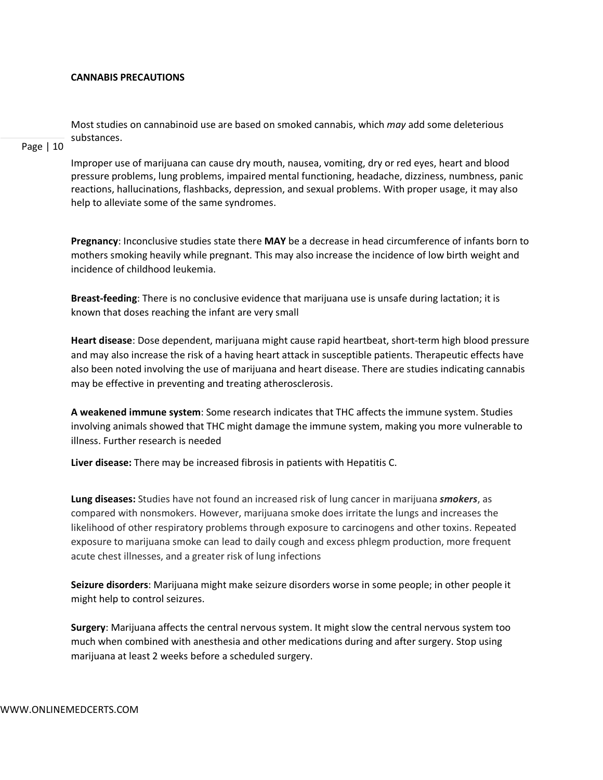### **CANNABIS PRECAUTIONS**

Most studies on cannabinoid use are based on smoked cannabis, which *may* add some deleterious substances.

Page | 10

Improper use of marijuana can cause dry mouth, nausea, vomiting, dry or red eyes, heart and blood pressure problems, lung problems, impaired mental functioning, headache, dizziness, numbness, panic reactions, hallucinations, flashbacks, depression, and sexual problems. With proper usage, it may also help to alleviate some of the same syndromes.

**Pregnancy**: Inconclusive studies state there **MAY** be a decrease in head circumference of infants born to mothers smoking heavily while pregnant. This may also increase the incidence of low birth weight and incidence of childhood leukemia.

**Breast-feeding**: There is no conclusive evidence that marijuana use is unsafe during lactation; it is known that doses reaching the infant are very small

**Heart disease**: Dose dependent, marijuana might cause rapid heartbeat, short-term high blood pressure and may also increase the risk of a having heart attack in susceptible patients. Therapeutic effects have also been noted involving the use of marijuana and heart disease. There are studies indicating cannabis may be effective in preventing and treating atherosclerosis.

**A weakened immune system**: Some research indicates that THC affects the immune system. Studies involving animals showed that THC might damage the immune system, making you more vulnerable to illness. Further research is needed

**Liver disease:** There may be increased fibrosis in patients with Hepatitis C.

**Lung diseases:** Studies have not found an increased risk of lung cancer in marijuana *smokers*, as compared with nonsmokers. However, marijuana smoke does irritate the lungs and increases the likelihood of other respiratory problems through exposure to carcinogens and other toxins. Repeated exposure to marijuana smoke can lead to daily cough and excess phlegm production, more frequent acute chest illnesses, and a greater risk of lung infections

**Seizure disorders**: Marijuana might make seizure disorders worse in some people; in other people it might help to control seizures.

**Surgery**: Marijuana affects the central nervous system. It might slow the central nervous system too much when combined with anesthesia and other medications during and after surgery. Stop using marijuana at least 2 weeks before a scheduled surgery.